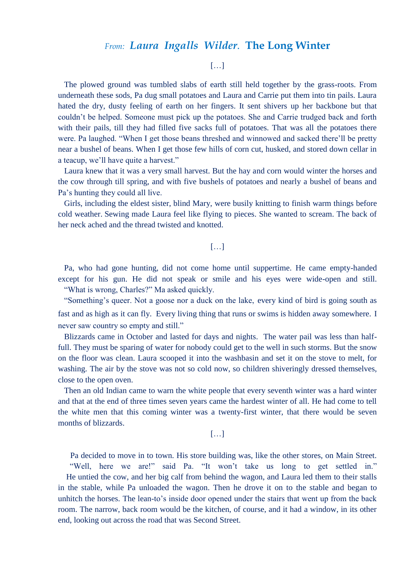# *From: Laura Ingalls Wilder*. **The Long Winter**

## […]

 The plowed ground was tumbled slabs of earth still held together by the grass-roots. From underneath these sods, Pa dug small potatoes and Laura and Carrie put them into tin pails. Laura hated the dry, dusty feeling of earth on her fingers. It sent shivers up her backbone but that couldn't be helped. Someone must pick up the potatoes. She and Carrie trudged back and forth with their pails, till they had filled five sacks full of potatoes. That was all the potatoes there were. Pa laughed. "When I get those beans threshed and winnowed and sacked there'll be pretty near a bushel of beans. When I get those few hills of corn cut, husked, and stored down cellar in a teacup, we'll have quite a harvest."

 Laura knew that it was a very small harvest. But the hay and corn would winter the horses and the cow through till spring, and with five bushels of potatoes and nearly a bushel of beans and Pa's hunting they could all live.

 Girls, including the eldest sister, blind Mary, were busily knitting to finish warm things before cold weather. Sewing made Laura feel like flying to pieces. She wanted to scream. The back of her neck ached and the thread twisted and knotted.

# […]

 Pa, who had gone hunting, did not come home until suppertime. He came empty-handed except for his gun. He did not speak or smile and his eyes were wide-open and still. "What is wrong, Charles?" Ma asked quickly.

 "Something's queer. Not a goose nor a duck on the lake, every kind of bird is going south as fast and as high as it can fly. Every living thing that runs or swims is hidden away somewhere. I never saw country so empty and still."

 Blizzards came in October and lasted for days and nights. The water pail was less than halffull. They must be sparing of water for nobody could get to the well in such storms. But the snow on the floor was clean. Laura scooped it into the washbasin and set it on the stove to melt, for washing. The air by the stove was not so cold now, so children shiveringly dressed themselves, close to the open oven.

 Then an old Indian came to warn the white people that every seventh winter was a hard winter and that at the end of three times seven years came the hardest winter of all. He had come to tell the white men that this coming winter was a twenty-first winter, that there would be seven months of blizzards.

## […]

Pa decided to move in to town. His store building was, like the other stores, on Main Street.

"Well, here we are!" said Pa. "It won't take us long to get settled in." He untied the cow, and her big calf from behind the wagon, and Laura led them to their stalls in the stable, while Pa unloaded the wagon. Then he drove it on to the stable and began to unhitch the horses. The lean-to's inside door opened under the stairs that went up from the back room. The narrow, back room would be the kitchen, of course, and it had a window, in its other end, looking out across the road that was Second Street.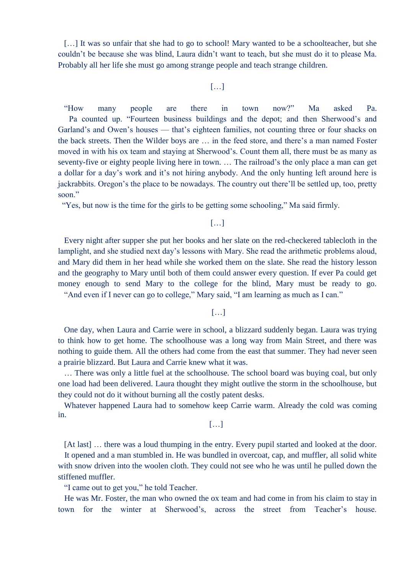[...] It was so unfair that she had to go to school! Mary wanted to be a schoolteacher, but she couldn't be because she was blind, Laura didn't want to teach, but she must do it to please Ma. Probably all her life she must go among strange people and teach strange children.

## […]

 "How many people are there in town now?" Ma asked Pa. Pa counted up. "Fourteen business buildings and the depot; and then Sherwood's and Garland's and Owen's houses — that's eighteen families, not counting three or four shacks on the back streets. Then the Wilder boys are … in the feed store, and there's a man named Foster moved in with his ox team and staying at Sherwood's. Count them all, there must be as many as seventy-five or eighty people living here in town. … The railroad's the only place a man can get a dollar for a day's work and it's not hiring anybody. And the only hunting left around here is jackrabbits. Oregon's the place to be nowadays. The country out there'll be settled up, too, pretty soon."

"Yes, but now is the time for the girls to be getting some schooling," Ma said firmly.

 $[]$ 

 Every night after supper she put her books and her slate on the red-checkered tablecloth in the lamplight, and she studied next day's lessons with Mary. She read the arithmetic problems aloud, and Mary did them in her head while she worked them on the slate. She read the history lesson and the geography to Mary until both of them could answer every question. If ever Pa could get money enough to send Mary to the college for the blind, Mary must be ready to go. "And even if I never can go to college," Mary said, "I am learning as much as I can."

[…]

 One day, when Laura and Carrie were in school, a blizzard suddenly began. Laura was trying to think how to get home. The schoolhouse was a long way from Main Street, and there was nothing to guide them. All the others had come from the east that summer. They had never seen a prairie blizzard. But Laura and Carrie knew what it was.

 … There was only a little fuel at the schoolhouse. The school board was buying coal, but only one load had been delivered. Laura thought they might outlive the storm in the schoolhouse, but they could not do it without burning all the costly patent desks.

 Whatever happened Laura had to somehow keep Carrie warm. Already the cold was coming in.

 $\left[ \ldots \right]$  . The contract of the contract of  $\left[ \ldots \right]$ 

[At last] … there was a loud thumping in the entry. Every pupil started and looked at the door.

It opened and a man stumbled in. He was bundled in overcoat, cap, and muffler, all solid white with snow driven into the woolen cloth. They could not see who he was until he pulled down the stiffened muffler.

"I came out to get you," he told Teacher.

He was Mr. Foster, the man who owned the ox team and had come in from his claim to stay in town for the winter at Sherwood's, across the street from Teacher's house.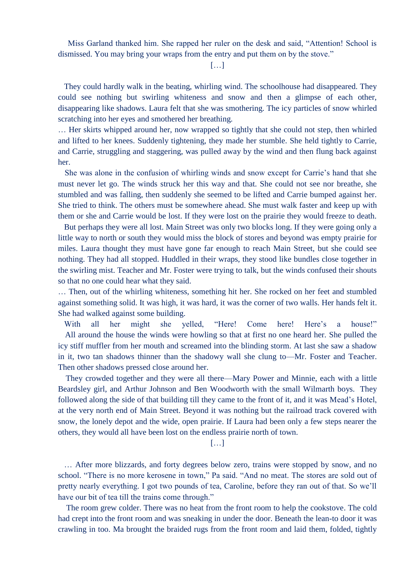Miss Garland thanked him. She rapped her ruler on the desk and said, "Attention! School is dismissed. You may bring your wraps from the entry and put them on by the stove."

#### $[...]$

 They could hardly walk in the beating, whirling wind. The schoolhouse had disappeared. They could see nothing but swirling whiteness and snow and then a glimpse of each other, disappearing like shadows. Laura felt that she was smothering. The icy particles of snow whirled scratching into her eyes and smothered her breathing.

… Her skirts whipped around her, now wrapped so tightly that she could not step, then whirled and lifted to her knees. Suddenly tightening, they made her stumble. She held tightly to Carrie, and Carrie, struggling and staggering, was pulled away by the wind and then flung back against her.

 She was alone in the confusion of whirling winds and snow except for Carrie's hand that she must never let go. The winds struck her this way and that. She could not see nor breathe, she stumbled and was falling, then suddenly she seemed to be lifted and Carrie bumped against her. She tried to think. The others must be somewhere ahead. She must walk faster and keep up with them or she and Carrie would be lost. If they were lost on the prairie they would freeze to death.

But perhaps they were all lost. Main Street was only two blocks long. If they were going only a little way to north or south they would miss the block of stores and beyond was empty prairie for miles. Laura thought they must have gone far enough to reach Main Street, but she could see nothing. They had all stopped. Huddled in their wraps, they stood like bundles close together in the swirling mist. Teacher and Mr. Foster were trying to talk, but the winds confused their shouts so that no one could hear what they said.

… Then, out of the whirling whiteness, something hit her. She rocked on her feet and stumbled against something solid. It was high, it was hard, it was the corner of two walls. Her hands felt it. She had walked against some building.

With all her might she yelled, "Here! Come here! Here's a house!" All around the house the winds were howling so that at first no one heard her. She pulled the icy stiff muffler from her mouth and screamed into the blinding storm. At last she saw a shadow in it, two tan shadows thinner than the shadowy wall she clung to—Mr. Foster and Teacher. Then other shadows pressed close around her.

 They crowded together and they were all there—Mary Power and Minnie, each with a little Beardsley girl, and Arthur Johnson and Ben Woodworth with the small Wilmarth boys. They followed along the side of that building till they came to the front of it, and it was Mead's Hotel, at the very north end of Main Street. Beyond it was nothing but the railroad track covered with snow, the lonely depot and the wide, open prairie. If Laura had been only a few steps nearer the others, they would all have been lost on the endless prairie north of town.

## […]

 … After more blizzards, and forty degrees below zero, trains were stopped by snow, and no school. "There is no more kerosene in town," Pa said. "And no meat. The stores are sold out of pretty nearly everything. I got two pounds of tea, Caroline, before they ran out of that. So we'll have our bit of tea till the trains come through."

 The room grew colder. There was no heat from the front room to help the cookstove. The cold had crept into the front room and was sneaking in under the door. Beneath the lean-to door it was crawling in too. Ma brought the braided rugs from the front room and laid them, folded, tightly